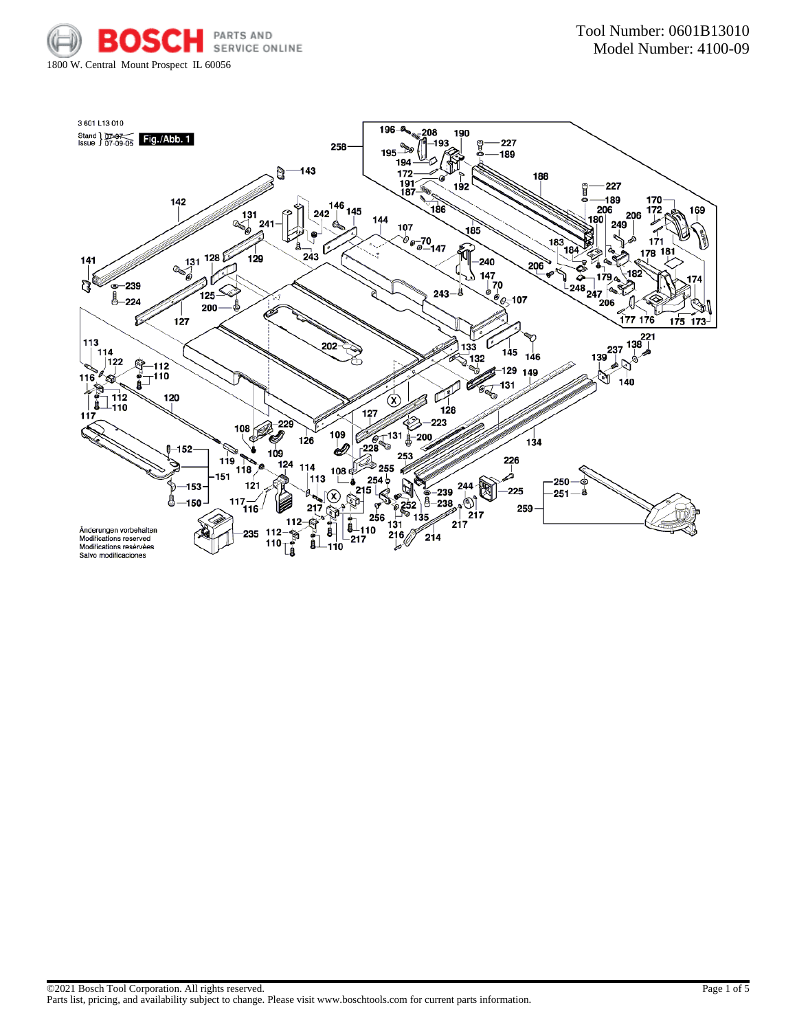

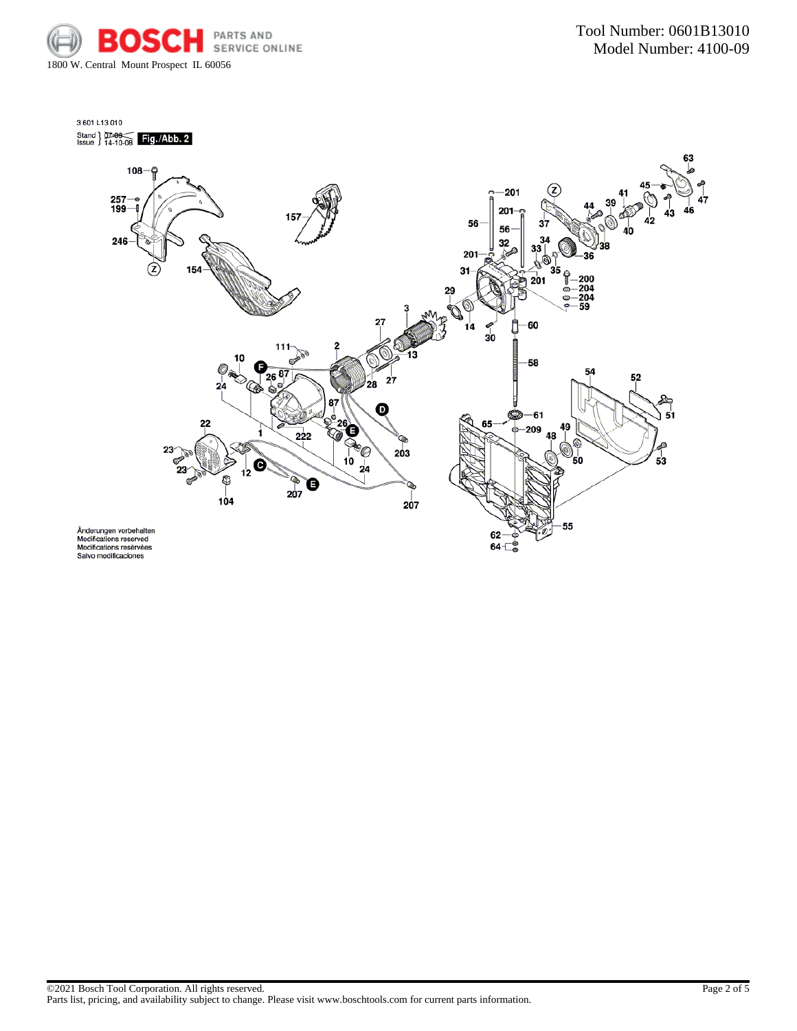



 $64 - \circ$ 

Änderungen vorbehalten<br>Modifications reserved<br>Modifications resèrvèes<br>Salvo modificaciones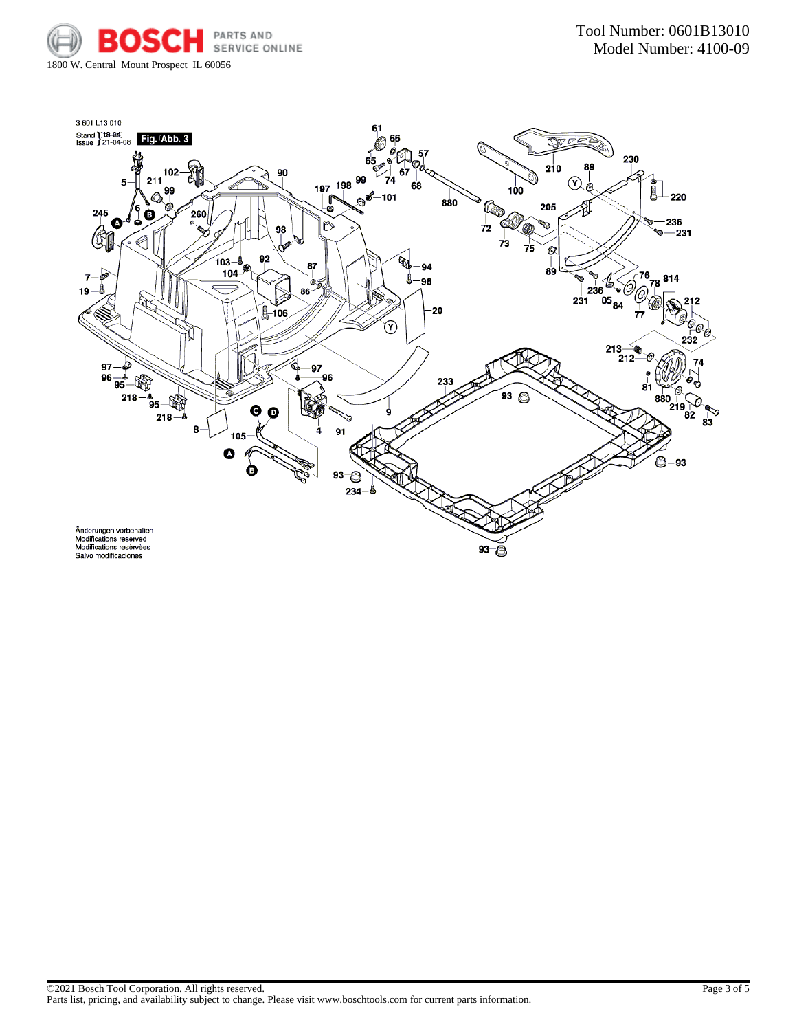

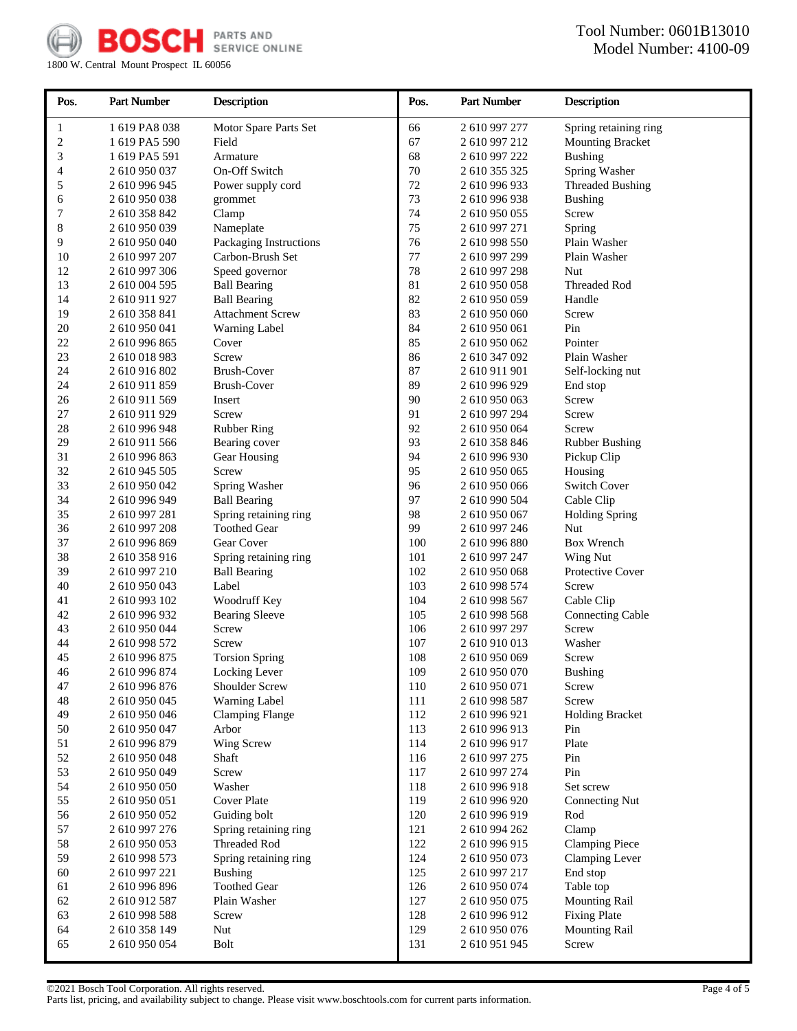

1800 W. Central Mount Prospect IL 60056

| Pos.         | <b>Part Number</b>             | Description                           | Pos.       | <b>Part Number</b>             | Description             |
|--------------|--------------------------------|---------------------------------------|------------|--------------------------------|-------------------------|
| 1            | 1 619 PA8 038                  | Motor Spare Parts Set                 | 66         | 2 610 997 277                  | Spring retaining ring   |
| 2            | 1 619 PA5 590                  | Field                                 | 67         | 2 610 997 212                  | <b>Mounting Bracket</b> |
| 3            | 1 619 PA5 591                  | Armature                              | 68         | 2 610 997 222                  | <b>Bushing</b>          |
| 4            | 2 610 950 037                  | On-Off Switch                         | 70         | 2 610 355 325                  | Spring Washer           |
| 5            | 2 610 996 945                  | Power supply cord                     | 72         | 2 610 996 933                  | <b>Threaded Bushing</b> |
| 6            | 2 610 950 038                  | grommet                               | 73         | 2 610 996 938                  | <b>Bushing</b>          |
| 7            | 2 610 358 842                  | Clamp                                 | 74         | 2 610 950 055                  | Screw                   |
| 8            | 2 610 950 039                  | Nameplate                             | 75         | 2 610 997 271                  | Spring                  |
| 9            | 2 610 950 040                  | Packaging Instructions                | 76         | 2 610 998 550                  | Plain Washer            |
| 10           | 2 610 997 207                  | Carbon-Brush Set                      | 77         | 2 610 997 299                  | Plain Washer            |
| 12           | 2 610 997 306                  | Speed governor                        | 78         | 2 610 997 298                  | Nut                     |
| 13           | 2 610 004 595                  | <b>Ball Bearing</b>                   | 81         | 2 610 950 058                  | Threaded Rod            |
| 14           | 2 610 911 927                  | <b>Ball Bearing</b>                   | 82         | 2 610 950 059                  | Handle                  |
| 19           | 2 610 358 841                  | <b>Attachment Screw</b>               | 83         | 2 610 950 060                  | Screw                   |
| 20           | 2 610 950 041                  | <b>Warning Label</b>                  | 84         | 2 610 950 061                  | Pin                     |
| 22           | 2 610 996 865                  | Cover                                 | 85         | 2 610 950 062                  | Pointer                 |
| 23           | 2 610 018 983                  | Screw                                 | 86         | 2 610 347 092                  | Plain Washer            |
| 24           | 2 610 916 802                  | <b>Brush-Cover</b>                    | 87         | 2 610 911 901                  | Self-locking nut        |
| 24           | 2 610 911 859                  | Brush-Cover                           | 89         | 2 610 996 929                  | End stop                |
| 26           | 2 610 911 569                  | Insert                                | 90         | 2 610 950 063                  | Screw                   |
| 27<br>28     | 2 610 911 929                  | Screw                                 | 91<br>92   | 2 610 997 294<br>2 610 950 064 | Screw<br>Screw          |
| 29           | 2 610 996 948<br>2 610 911 566 | <b>Rubber Ring</b><br>Bearing cover   | 93         | 2 610 358 846                  |                         |
| 31           | 2 610 996 863                  |                                       | 94         | 2 610 996 930                  | <b>Rubber Bushing</b>   |
| 32           | 2 610 945 505                  | Gear Housing<br>Screw                 | 95         | 2 610 950 065                  | Pickup Clip<br>Housing  |
| 33           | 2 610 950 042                  | Spring Washer                         | 96         | 2 610 950 066                  | <b>Switch Cover</b>     |
| 34           | 2 610 996 949                  | <b>Ball Bearing</b>                   | 97         | 2 610 990 504                  | Cable Clip              |
| 35           | 2 610 997 281                  | Spring retaining ring                 | 98         | 2 610 950 067                  | <b>Holding Spring</b>   |
| 36           | 2 610 997 208                  | <b>Toothed Gear</b>                   | 99         | 2 610 997 246                  | Nut                     |
| 37           | 2 610 996 869                  | Gear Cover                            | 100        | 2 610 996 880                  | Box Wrench              |
| 38           | 2 610 358 916                  | Spring retaining ring                 | 101        | 2 610 997 247                  | Wing Nut                |
| 39           | 2 610 997 210                  | <b>Ball Bearing</b>                   | 102        | 2 610 950 068                  | Protective Cover        |
| 40           | 2 610 950 043                  | Label                                 | 103        | 2 610 998 574                  | Screw                   |
| 41           | 2 610 993 102                  | Woodruff Key                          | 104        | 2 610 998 567                  | Cable Clip              |
| 42           | 2 610 996 932                  | <b>Bearing Sleeve</b>                 | 105        | 2 610 998 568                  | <b>Connecting Cable</b> |
| 43           | 2 610 950 044                  | Screw                                 | 106        | 2 610 997 297                  | Screw                   |
| 44           | 2 610 998 572                  | Screw                                 | 107        | 2 610 910 013                  | Washer                  |
| 45           | 2610996875                     | <b>Torsion Spring</b>                 | 108        | 2 610 950 069                  | Screw                   |
| 46           | 2 610 996 874                  | Locking Lever                         | 109        | 2 610 950 070                  | <b>Bushing</b>          |
| 47           | 2 610 996 876                  | Shoulder Screw                        | 110        | 2 610 950 071                  | Screw                   |
| 48           | 2 610 950 045                  | Warning Label                         | 111        | 2610998587                     | Screw                   |
| 49           | 2 610 950 046                  | <b>Clamping Flange</b>                | 112        | 2 610 996 921                  | <b>Holding Bracket</b>  |
| 50           | 2 610 950 047                  | Arbor                                 | 113        | 2 610 996 913                  | Pin                     |
| 51           | 2 610 996 879                  | Wing Screw                            | 114        | 2 610 996 917                  | Plate                   |
| 52           | 2 610 950 048                  | Shaft                                 | 116        | 2 610 997 275                  | Pin                     |
| 53           | 2 610 950 049                  | Screw                                 | 117        | 2 610 997 274                  | Pin                     |
| 54           | 2 610 950 050                  | Washer                                | 118        | 2 610 996 918                  | Set screw               |
| 55           | 2 610 950 051                  | <b>Cover Plate</b>                    | 119        | 2 610 996 920                  | <b>Connecting Nut</b>   |
| 56           | 2 610 950 052                  | Guiding bolt                          | 120        | 2610996919                     | Rod                     |
| 57           | 2 610 997 276                  | Spring retaining ring                 | 121        | 2 610 994 262                  | Clamp                   |
| 58           | 2 610 950 053                  | Threaded Rod                          | 122        | 2 610 996 915                  | <b>Clamping Piece</b>   |
| 59<br>$60\,$ | 2 610 998 573                  | Spring retaining ring                 | 124<br>125 | 2 610 950 073                  | <b>Clamping Lever</b>   |
|              | 2 610 997 221                  | <b>Bushing</b><br><b>Toothed Gear</b> |            | 2 610 997 217                  | End stop<br>Table top   |
| 61<br>62     | 2 610 996 896                  | Plain Washer                          | 126<br>127 | 2 610 950 074<br>2 610 950 075 | <b>Mounting Rail</b>    |
| 63           | 2 610 912 587                  | Screw                                 | 128        |                                | <b>Fixing Plate</b>     |
| 64           | 2 610 998 588<br>2 610 358 149 | Nut                                   | 129        | 2 610 996 912<br>2 610 950 076 | <b>Mounting Rail</b>    |
| 65           | 2 610 950 054                  | <b>Bolt</b>                           | 131        | 2 610 951 945                  | Screw                   |
|              |                                |                                       |            |                                |                         |